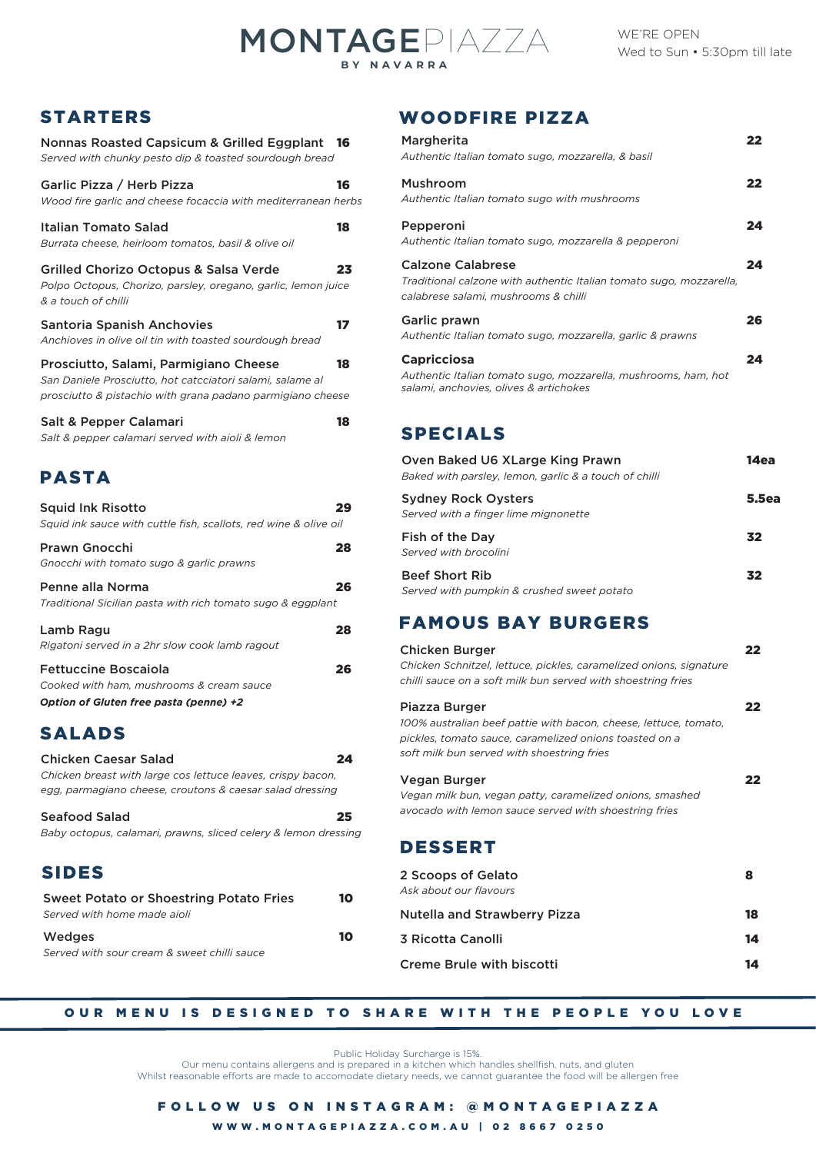# MONTAGEPIAZZA **BY NAVARRA**

| Nonnas Roasted Capsicum & Grilled Eggplant             | 16 |
|--------------------------------------------------------|----|
| Served with chunky pesto dip & toasted sourdough bread |    |
| Carlie Dizza / Horb Dizza                              |    |

| Gariic Pizza / Herb Pizza                                     |  |
|---------------------------------------------------------------|--|
| Wood fire garlic and cheese focaccia with mediterranean herbs |  |
|                                                               |  |

| Italian Tomato Salad                                          | 18 |
|---------------------------------------------------------------|----|
| Burrata cheese, heirloom tomatos, basil & olive oil           |    |
| Grilled Chorizo Octopus & Salsa Verde                         | 23 |
| Polpo Octopus, Chorizo, parsley, oregano, garlic, lemon juice |    |
| & a touch of chilli                                           |    |

| <b>Santoria Spanish Anchovies</b>                         |    |
|-----------------------------------------------------------|----|
| Anchioves in olive oil tin with toasted sourdough bread   |    |
| Prosciutto, Salami, Parmigiano Cheese                     | 18 |
| San Daniele Prosciutto, hot catcciatori salami, salame al |    |

| prosciutto & pistachio with grana padano parmigiano cheese |  |    |
|------------------------------------------------------------|--|----|
| Salt & Pepper Calamari                                     |  | 18 |

| Sait & T Cppci Calaman                           |
|--------------------------------------------------|
| Salt & pepper calamari served with aioli & lemon |

# PASTA

| C A I<br>$\mathbf{w}$                                                                        |    |
|----------------------------------------------------------------------------------------------|----|
| Option of Gluten free pasta (penne) +2                                                       |    |
| <b>Fettuccine Boscaiola</b><br>Cooked with ham, mushrooms & cream sauce                      | 26 |
| Lamb Ragu<br>Rigatoni served in a 2hr slow cook lamb ragout                                  | 28 |
| Penne alla Norma<br>Traditional Sicilian pasta with rich tomato sugo & eggplant              | 26 |
| Prawn Gnocchi<br>Gnocchi with tomato sugo & garlic prawns                                    | 28 |
| <b>Squid Ink Risotto</b><br>Squid ink sauce with cuttle fish, scallots, red wine & olive oil | 29 |

## SALADS

| Chicken Caesar Salad                                           | 24 |
|----------------------------------------------------------------|----|
| Chicken breast with large cos lettuce leaves, crispy bacon,    |    |
| egg, parmagiano cheese, croutons & caesar salad dressing       |    |
| Seafood Salad                                                  | 25 |
| Baby octopus, calamari, prawns, sliced celery & lemon dressing |    |
|                                                                |    |
| <b>SIDES</b>                                                   |    |
| Sweet Potato or Shoestring Potato Fries                        | 10 |
| Served with home made aioli                                    |    |
| Wedges                                                         |    |

*Served with sour cream & sweet chilli sauce*

# STARTERS WOODFIRE PIZZA

| Margherita<br>Authentic Italian tomato sugo, mozzarella, & basil                                                                        | 22 |
|-----------------------------------------------------------------------------------------------------------------------------------------|----|
| Mushroom<br>Authentic Italian tomato sugo with mushrooms                                                                                | 22 |
| Pepperoni<br>Authentic Italian tomato sugo, mozzarella & pepperoni                                                                      | 24 |
| <b>Calzone Calabrese</b><br>Traditional calzone with authentic Italian tomato sugo, mozzarella,<br>calabrese salami, mushrooms & chilli | 24 |
| Garlic prawn<br>Authentic Italian tomato sugo, mozzarella, garlic & prawns                                                              | 26 |
| <b>Capricciosa</b><br>Authentic Italian tomato sugo, mozzarella, mushrooms, ham, hot<br>salami, anchovies, olives & artichokes          | 24 |

## SPECIALS

| Oven Baked U6 XLarge King Prawn<br>Baked with parsley, lemon, garlic & a touch of chilli | 14ea         |
|------------------------------------------------------------------------------------------|--------------|
| <b>Sydney Rock Oysters</b><br>Served with a finger lime mignonette                       | <b>5.5ea</b> |
| Fish of the Day<br>Served with brocolini                                                 | 32           |
| <b>Beef Short Rib</b><br>Served with pumpkin & crushed sweet potato                      | 32           |

## FAMOUS BAY BURGERS

| <b>Chicken Burger</b><br>Chicken Schnitzel, lettuce, pickles, caramelized onions, signature<br>chilli sauce on a soft milk bun served with shoestring fries                               | 22 |
|-------------------------------------------------------------------------------------------------------------------------------------------------------------------------------------------|----|
| Piazza Burger<br>100% australian beef pattie with bacon, cheese, lettuce, tomato,<br>pickles, tomato sauce, caramelized onions toasted on a<br>soft milk bun served with shoestring fries | 22 |
| Vegan Burger<br>Vegan milk bun, vegan patty, caramelized onions, smashed<br>avocado with lemon sauce served with shoestring fries                                                         | 22 |
| <b>DESSERT</b>                                                                                                                                                                            |    |
| 2 Scoops of Gelato<br>Ask about our flavours                                                                                                                                              | 8  |
| <b>Nutella and Strawberry Pizza</b>                                                                                                                                                       | 18 |
| 3 Ricotta Canolli                                                                                                                                                                         | 14 |
| <b>Creme Brule with biscotti</b>                                                                                                                                                          | 14 |

### OUR MENU IS DESIGNED TO SHARE WITH THE PEOPLE YOU LOVE

Public Holiday Surcharge is 15%.

Our menu contains allergens and is prepared in a kitchen which handles shellfish, nuts, and gluten Whilst reasonable efforts are made to accomodate dietary needs, we cannot guarantee the food will be allergen free

WWW.MONTAGEPIAZZA.COM.AU | 02 8667 0250